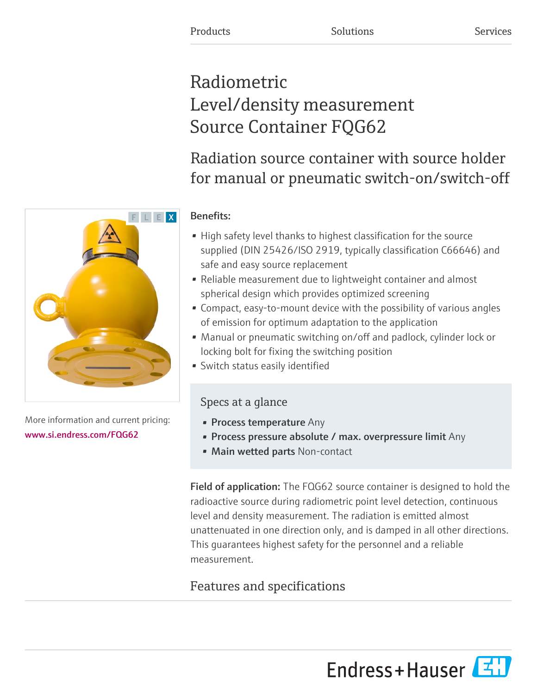# Radiometric Level/density measurement Source Container FQG62

# Radiation source container with source holder for manual or pneumatic switch-on/switch-off

# Benefits:

- High safety level thanks to highest classification for the source supplied (DIN 25426/ISO 2919, typically classification C66646) and safe and easy source replacement
- Reliable measurement due to lightweight container and almost spherical design which provides optimized screening
- Compact, easy-to-mount device with the possibility of various angles of emission for optimum adaptation to the application
- Manual or pneumatic switching on/off and padlock, cylinder lock or locking bolt for fixing the switching position
- Switch status easily identified

# Specs at a glance

- Process temperature Any
- Process pressure absolute / max. overpressure limit Any
- Main wetted parts Non-contact

Field of application: The FQG62 source container is designed to hold the radioactive source during radiometric point level detection, continuous level and density measurement. The radiation is emitted almost unattenuated in one direction only, and is damped in all other directions. This guarantees highest safety for the personnel and a reliable measurement.

# Features and specifications

[www.si.endress.com/FQG62](https://www.si.endress.com/FQG62)





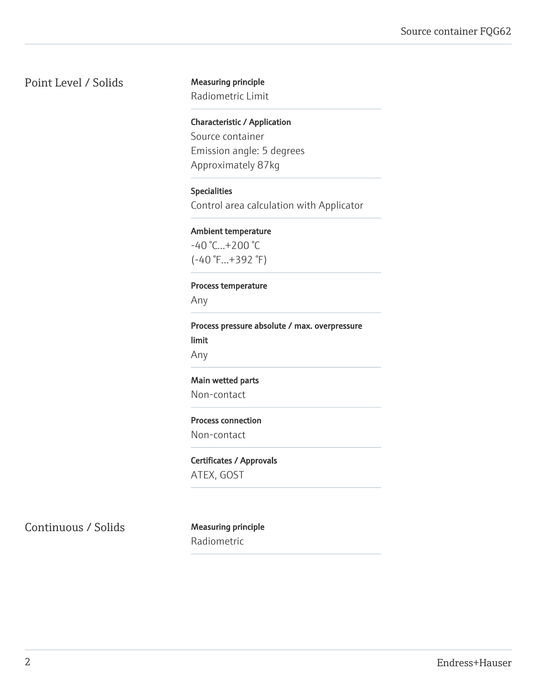### Point Level / Solids Measuring principle

Radiometric Limit

Characteristic / Application Source container Emission angle: 5 degrees Approximately 87kg

#### Specialities

Control area calculation with Applicator

#### Ambient temperature

-40 °C...+200 °C (-40 °F...+392 °F)

#### Process temperature

Any

Process pressure absolute / max. overpressure limit Any

#### Main wetted parts

Non-contact

#### Process connection

Non-contact

#### Certificates / Approvals

ATEX, GOST

Continuous / Solids Measuring principle

Radiometric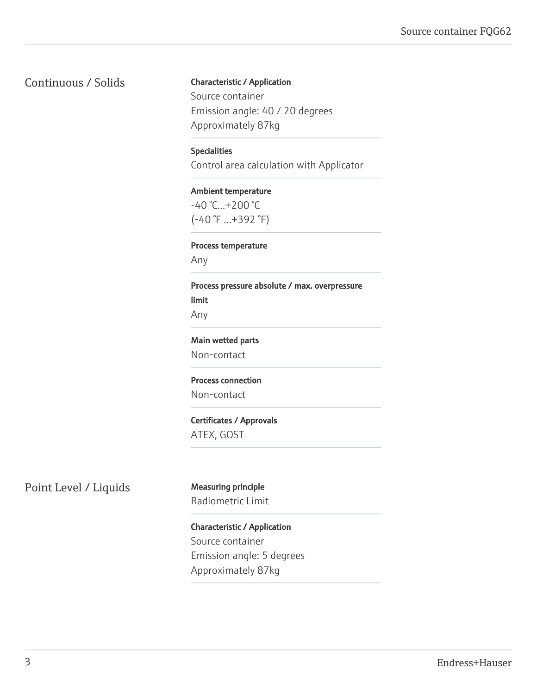### Continuous / Solids

#### Characteristic / Application

Source container Emission angle: 40 / 20 degrees Approximately 87kg

#### Specialities

Control area calculation with Applicator

#### Ambient temperature  $-40$  °C... $+200$  °C

(-40 °F ...+392 °F)

#### Process temperature

Any

# Process pressure absolute / max. overpressure limit

Any

#### Main wetted parts

Non-contact

#### Process connection

Non-contact

#### Certificates / Approvals ATEX, GOST

## Point Level / Liquids Measuring principle

Radiometric Limit

### Characteristic / Application Source container Emission angle: 5 degrees Approximately 87kg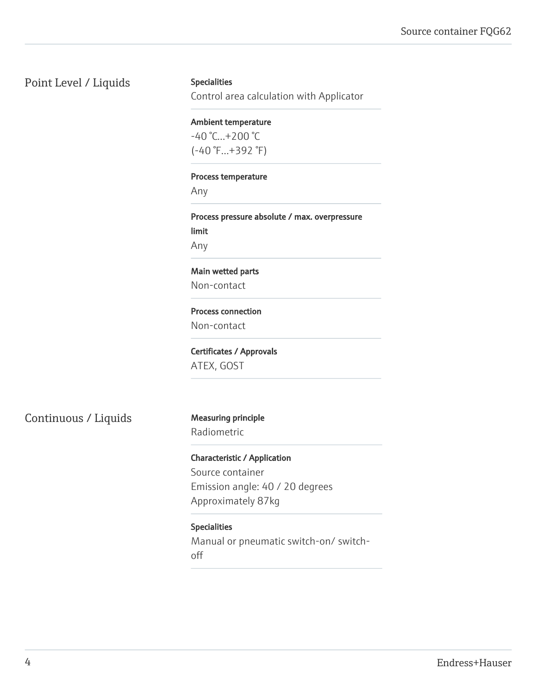Point Level / Liquids

#### **Specialities**

Control area calculation with Applicator

#### Ambient temperature

 $-40 °C...+200 °C$ (-40 °F...+392 °F)

#### Process temperature

Any

Process pressure absolute / max. overpressure limit

Any

#### Main wetted parts

Non-contact

#### Process connection

Non-contact

Certificates / Approvals ATEX, GOST

Continuous / Liquids Measuring principle

# Radiometric

Characteristic / Application Source container Emission angle: 40 / 20 degrees Approximately 87kg

#### Specialities

Manual or pneumatic switch-on/ switchoff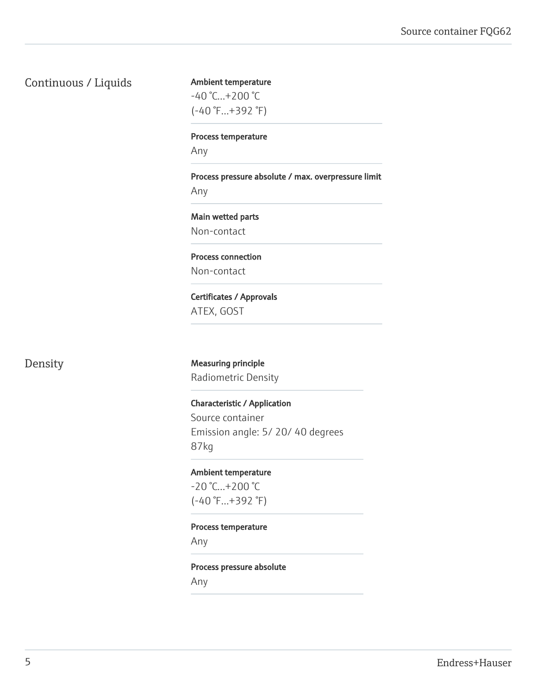#### Continuous / Liquids

Ambient temperature -40 °C...+200 °C

(-40 °F...+392 °F)

Process temperature

Any

Process pressure absolute / max. overpressure limit Any

Main wetted parts Non-contact

Process connection Non-contact

Certificates / Approvals ATEX, GOST

Density Measuring principle Radiometric Density

> Characteristic / Application Source container Emission angle: 5/ 20/ 40 degrees 87kg

Ambient temperature -20 °C...+200 °C (-40 °F...+392 °F)

Process temperature

Any

Process pressure absolute Any